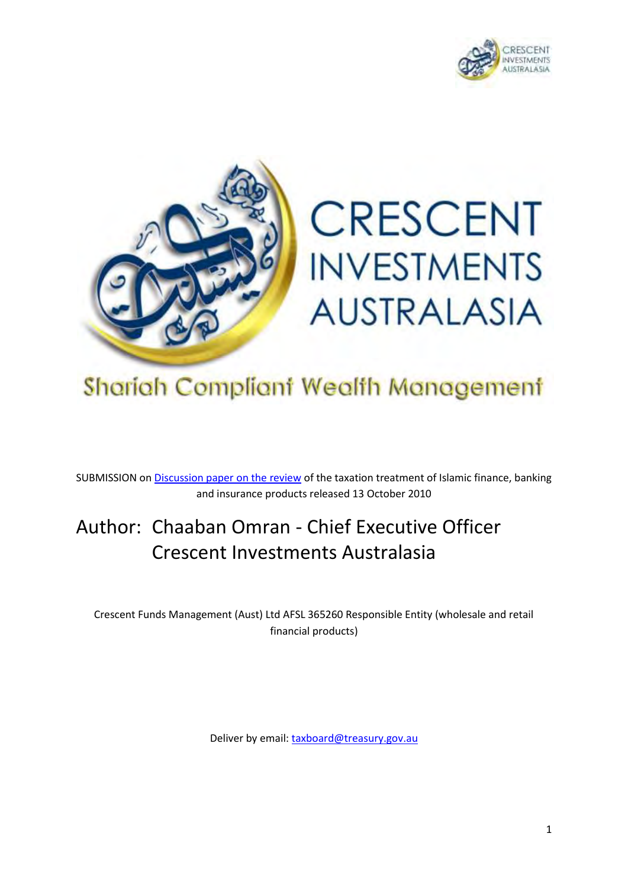



# Shariah Compliant Wealth Management

SUBMISSION on **Discussion paper on the review** of the taxation treatment of Islamic finance, banking and insurance products released 13 October 2010

## Author: Chaaban Omran - Chief Executive Officer Crescent Investments Australasia

Crescent Funds Management (Aust) Ltd AFSL 365260 Responsible Entity (wholesale and retail financial products)

Deliver by email[: taxboard@treasury.gov.au](mailto:taxboard@treasury.gov.au)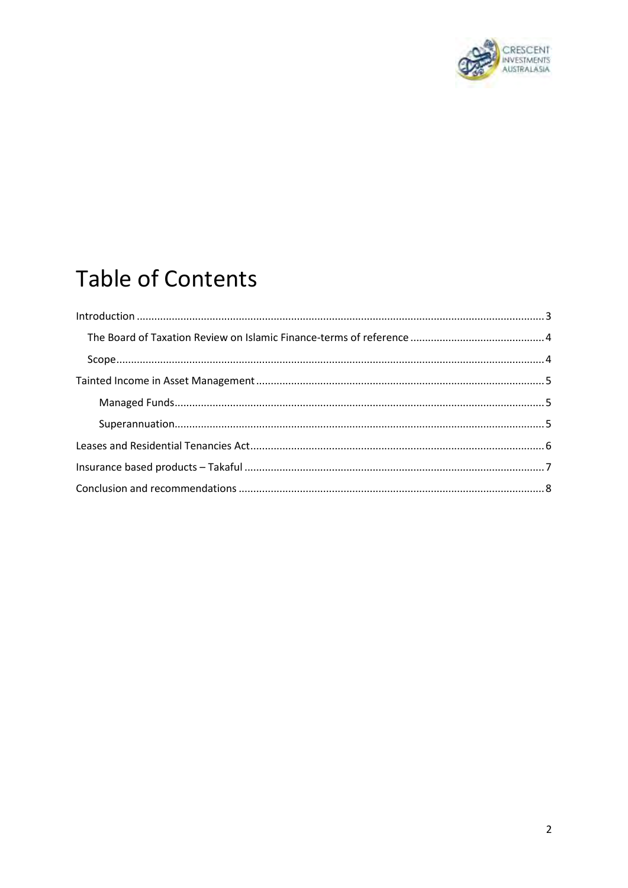

# **Table of Contents**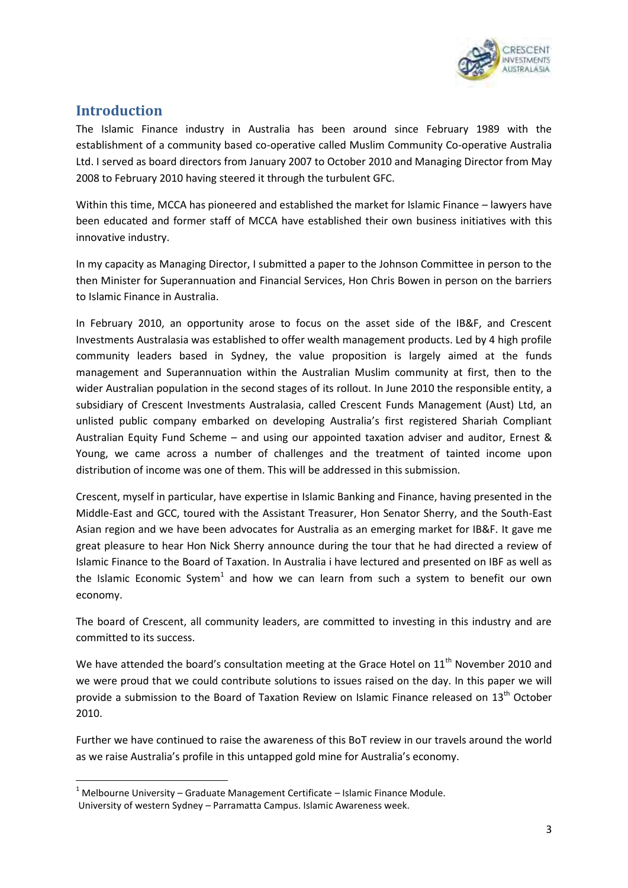

### <span id="page-2-0"></span>**Introduction**

**.** 

The Islamic Finance industry in Australia has been around since February 1989 with the establishment of a community based co-operative called Muslim Community Co-operative Australia Ltd. I served as board directors from January 2007 to October 2010 and Managing Director from May 2008 to February 2010 having steered it through the turbulent GFC.

Within this time, MCCA has pioneered and established the market for Islamic Finance – lawyers have been educated and former staff of MCCA have established their own business initiatives with this innovative industry.

In my capacity as Managing Director, I submitted a paper to the Johnson Committee in person to the then Minister for Superannuation and Financial Services, Hon Chris Bowen in person on the barriers to Islamic Finance in Australia.

In February 2010, an opportunity arose to focus on the asset side of the IB&F, and Crescent Investments Australasia was established to offer wealth management products. Led by 4 high profile community leaders based in Sydney, the value proposition is largely aimed at the funds management and Superannuation within the Australian Muslim community at first, then to the wider Australian population in the second stages of its rollout. In June 2010 the responsible entity, a subsidiary of Crescent Investments Australasia, called Crescent Funds Management (Aust) Ltd, an unlisted public company embarked on developing Australia's first registered Shariah Compliant Australian Equity Fund Scheme – and using our appointed taxation adviser and auditor, Ernest & Young, we came across a number of challenges and the treatment of tainted income upon distribution of income was one of them. This will be addressed in this submission.

Crescent, myself in particular, have expertise in Islamic Banking and Finance, having presented in the Middle-East and GCC, toured with the Assistant Treasurer, Hon Senator Sherry, and the South-East Asian region and we have been advocates for Australia as an emerging market for IB&F. It gave me great pleasure to hear Hon Nick Sherry announce during the tour that he had directed a review of Islamic Finance to the Board of Taxation. In Australia i have lectured and presented on IBF as well as the Islamic Economic System<sup>1</sup> and how we can learn from such a system to benefit our own economy.

The board of Crescent, all community leaders, are committed to investing in this industry and are committed to its success.

We have attended the board's consultation meeting at the Grace Hotel on 11<sup>th</sup> November 2010 and we were proud that we could contribute solutions to issues raised on the day. In this paper we will provide a submission to the Board of Taxation Review on Islamic Finance released on 13<sup>th</sup> October 2010.

Further we have continued to raise the awareness of this BoT review in our travels around the world as we raise Australia's profile in this untapped gold mine for Australia's economy.

 $1$  Melbourne University – Graduate Management Certificate – Islamic Finance Module. University of western Sydney – Parramatta Campus. Islamic Awareness week.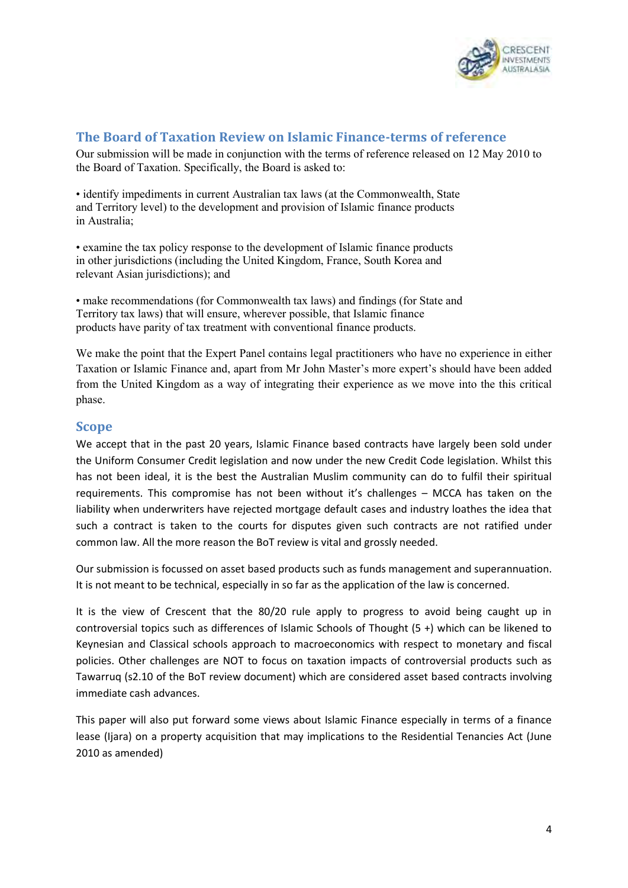

#### <span id="page-3-0"></span>**The Board of Taxation Review on Islamic Finance-terms of reference**

Our submission will be made in conjunction with the terms of reference released on 12 May 2010 to the Board of Taxation. Specifically, the Board is asked to:

• identify impediments in current Australian tax laws (at the Commonwealth, State and Territory level) to the development and provision of Islamic finance products in Australia;

• examine the tax policy response to the development of Islamic finance products in other jurisdictions (including the United Kingdom, France, South Korea and relevant Asian jurisdictions); and

• make recommendations (for Commonwealth tax laws) and findings (for State and Territory tax laws) that will ensure, wherever possible, that Islamic finance products have parity of tax treatment with conventional finance products.

We make the point that the Expert Panel contains legal practitioners who have no experience in either Taxation or Islamic Finance and, apart from Mr John Master's more expert's should have been added from the United Kingdom as a way of integrating their experience as we move into the this critical phase.

#### <span id="page-3-1"></span>**Scope**

We accept that in the past 20 years, Islamic Finance based contracts have largely been sold under the Uniform Consumer Credit legislation and now under the new Credit Code legislation. Whilst this has not been ideal, it is the best the Australian Muslim community can do to fulfil their spiritual requirements. This compromise has not been without it's challenges – MCCA has taken on the liability when underwriters have rejected mortgage default cases and industry loathes the idea that such a contract is taken to the courts for disputes given such contracts are not ratified under common law. All the more reason the BoT review is vital and grossly needed.

Our submission is focussed on asset based products such as funds management and superannuation. It is not meant to be technical, especially in so far as the application of the law is concerned.

It is the view of Crescent that the 80/20 rule apply to progress to avoid being caught up in controversial topics such as differences of Islamic Schools of Thought (5 +) which can be likened to Keynesian and Classical schools approach to macroeconomics with respect to monetary and fiscal policies. Other challenges are NOT to focus on taxation impacts of controversial products such as Tawarruq (s2.10 of the BoT review document) which are considered asset based contracts involving immediate cash advances.

This paper will also put forward some views about Islamic Finance especially in terms of a finance lease (Ijara) on a property acquisition that may implications to the Residential Tenancies Act (June 2010 as amended)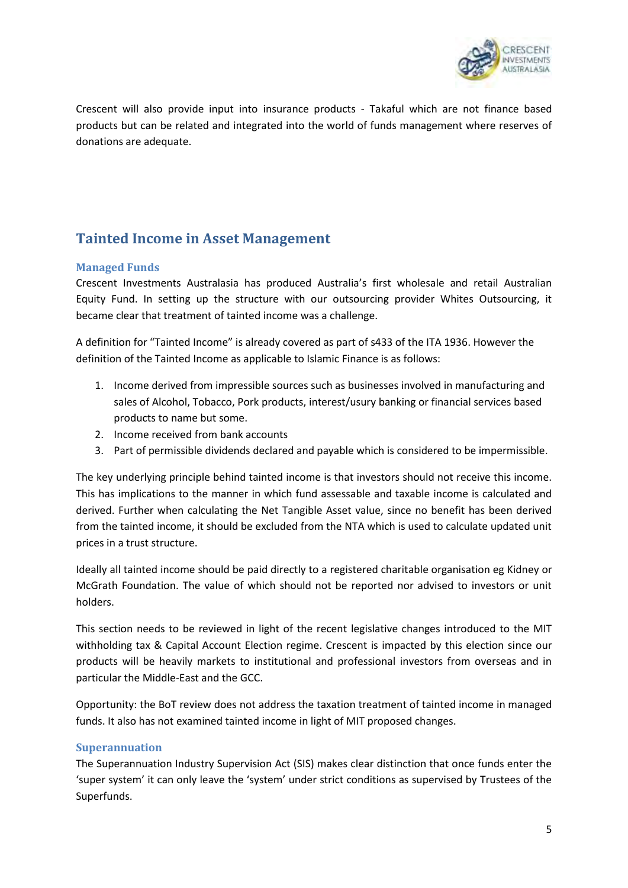

Crescent will also provide input into insurance products - Takaful which are not finance based products but can be related and integrated into the world of funds management where reserves of donations are adequate.

## <span id="page-4-0"></span>**Tainted Income in Asset Management**

#### <span id="page-4-1"></span>**Managed Funds**

Crescent Investments Australasia has produced Australia's first wholesale and retail Australian Equity Fund. In setting up the structure with our outsourcing provider Whites Outsourcing, it became clear that treatment of tainted income was a challenge.

A definition for "Tainted Income" is already covered as part of s433 of the ITA 1936. However the definition of the Tainted Income as applicable to Islamic Finance is as follows:

- 1. Income derived from impressible sources such as businesses involved in manufacturing and sales of Alcohol, Tobacco, Pork products, interest/usury banking or financial services based products to name but some.
- 2. Income received from bank accounts
- 3. Part of permissible dividends declared and payable which is considered to be impermissible.

The key underlying principle behind tainted income is that investors should not receive this income. This has implications to the manner in which fund assessable and taxable income is calculated and derived. Further when calculating the Net Tangible Asset value, since no benefit has been derived from the tainted income, it should be excluded from the NTA which is used to calculate updated unit prices in a trust structure.

Ideally all tainted income should be paid directly to a registered charitable organisation eg Kidney or McGrath Foundation. The value of which should not be reported nor advised to investors or unit holders.

This section needs to be reviewed in light of the recent legislative changes introduced to the MIT withholding tax & Capital Account Election regime. Crescent is impacted by this election since our products will be heavily markets to institutional and professional investors from overseas and in particular the Middle-East and the GCC.

Opportunity: the BoT review does not address the taxation treatment of tainted income in managed funds. It also has not examined tainted income in light of MIT proposed changes.

#### <span id="page-4-2"></span>**Superannuation**

The Superannuation Industry Supervision Act (SIS) makes clear distinction that once funds enter the 'super system' it can only leave the 'system' under strict conditions as supervised by Trustees of the Superfunds.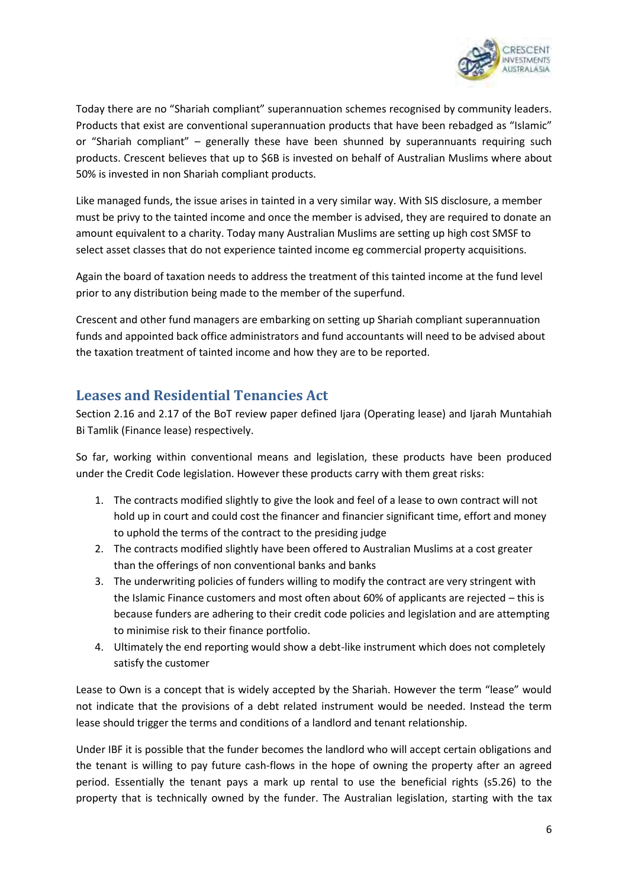

Today there are no "Shariah compliant" superannuation schemes recognised by community leaders. Products that exist are conventional superannuation products that have been rebadged as "Islamic" or "Shariah compliant" – generally these have been shunned by superannuants requiring such products. Crescent believes that up to \$6B is invested on behalf of Australian Muslims where about 50% is invested in non Shariah compliant products.

Like managed funds, the issue arises in tainted in a very similar way. With SIS disclosure, a member must be privy to the tainted income and once the member is advised, they are required to donate an amount equivalent to a charity. Today many Australian Muslims are setting up high cost SMSF to select asset classes that do not experience tainted income eg commercial property acquisitions.

Again the board of taxation needs to address the treatment of this tainted income at the fund level prior to any distribution being made to the member of the superfund.

Crescent and other fund managers are embarking on setting up Shariah compliant superannuation funds and appointed back office administrators and fund accountants will need to be advised about the taxation treatment of tainted income and how they are to be reported.

### <span id="page-5-0"></span>**Leases and Residential Tenancies Act**

Section 2.16 and 2.17 of the BoT review paper defined Ijara (Operating lease) and Ijarah Muntahiah Bi Tamlik (Finance lease) respectively.

So far, working within conventional means and legislation, these products have been produced under the Credit Code legislation. However these products carry with them great risks:

- 1. The contracts modified slightly to give the look and feel of a lease to own contract will not hold up in court and could cost the financer and financier significant time, effort and money to uphold the terms of the contract to the presiding judge
- 2. The contracts modified slightly have been offered to Australian Muslims at a cost greater than the offerings of non conventional banks and banks
- 3. The underwriting policies of funders willing to modify the contract are very stringent with the Islamic Finance customers and most often about 60% of applicants are rejected – this is because funders are adhering to their credit code policies and legislation and are attempting to minimise risk to their finance portfolio.
- 4. Ultimately the end reporting would show a debt-like instrument which does not completely satisfy the customer

Lease to Own is a concept that is widely accepted by the Shariah. However the term "lease" would not indicate that the provisions of a debt related instrument would be needed. Instead the term lease should trigger the terms and conditions of a landlord and tenant relationship.

Under IBF it is possible that the funder becomes the landlord who will accept certain obligations and the tenant is willing to pay future cash-flows in the hope of owning the property after an agreed period. Essentially the tenant pays a mark up rental to use the beneficial rights (s5.26) to the property that is technically owned by the funder. The Australian legislation, starting with the tax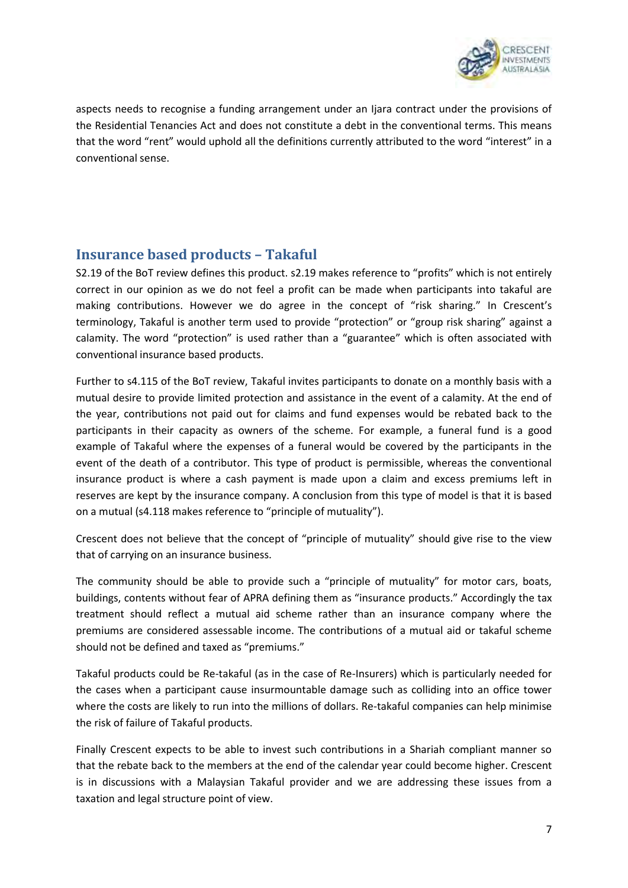

aspects needs to recognise a funding arrangement under an Ijara contract under the provisions of the Residential Tenancies Act and does not constitute a debt in the conventional terms. This means that the word "rent" would uphold all the definitions currently attributed to the word "interest" in a conventional sense.

#### <span id="page-6-0"></span>**Insurance based products – Takaful**

S2.19 of the BoT review defines this product. s2.19 makes reference to "profits" which is not entirely correct in our opinion as we do not feel a profit can be made when participants into takaful are making contributions. However we do agree in the concept of "risk sharing." In Crescent's terminology, Takaful is another term used to provide "protection" or "group risk sharing" against a calamity. The word "protection" is used rather than a "guarantee" which is often associated with conventional insurance based products.

Further to s4.115 of the BoT review, Takaful invites participants to donate on a monthly basis with a mutual desire to provide limited protection and assistance in the event of a calamity. At the end of the year, contributions not paid out for claims and fund expenses would be rebated back to the participants in their capacity as owners of the scheme. For example, a funeral fund is a good example of Takaful where the expenses of a funeral would be covered by the participants in the event of the death of a contributor. This type of product is permissible, whereas the conventional insurance product is where a cash payment is made upon a claim and excess premiums left in reserves are kept by the insurance company. A conclusion from this type of model is that it is based on a mutual (s4.118 makes reference to "principle of mutuality").

Crescent does not believe that the concept of "principle of mutuality" should give rise to the view that of carrying on an insurance business.

The community should be able to provide such a "principle of mutuality" for motor cars, boats, buildings, contents without fear of APRA defining them as "insurance products." Accordingly the tax treatment should reflect a mutual aid scheme rather than an insurance company where the premiums are considered assessable income. The contributions of a mutual aid or takaful scheme should not be defined and taxed as "premiums."

Takaful products could be Re-takaful (as in the case of Re-Insurers) which is particularly needed for the cases when a participant cause insurmountable damage such as colliding into an office tower where the costs are likely to run into the millions of dollars. Re-takaful companies can help minimise the risk of failure of Takaful products.

Finally Crescent expects to be able to invest such contributions in a Shariah compliant manner so that the rebate back to the members at the end of the calendar year could become higher. Crescent is in discussions with a Malaysian Takaful provider and we are addressing these issues from a taxation and legal structure point of view.